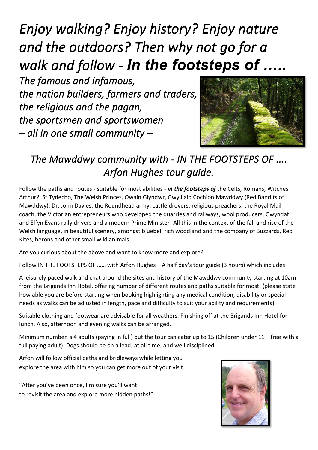*Enjoy walking? Enjoy history? Enjoy nature and the outdoors? Then why not go for a walk and follow - In the footsteps of …..* 

*The famous and infamous, the nation builders, farmers and traders, the religious and the pagan, the sportsmen and sportswomen – all in one small community –* 



## *The Mawddwy community with - IN THE FOOTSTEPS OF .... Arfon Hughes tour guide.*

Follow the paths and routes - suitable for most abilities - *in the footsteps of* the Celts, Romans, Witches Arthur?, St Tydecho, The Welsh Princes, Owain Glyndwr, Gwylliaid Cochion Mawddwy (Red Bandits of Mawddwy), Dr. John Davies, the Roundhead army, cattle drovers, religious preachers, the Royal Mail coach, the Victorian entrepreneurs who developed the quarries and railways, wool producers, Gwyndaf and Elfyn Evans rally drivers and a modern Prime Minister! All this in the context of the fall and rise of the Welsh language, in beautiful scenery, amongst bluebell rich woodland and the company of Buzzards, Red Kites, herons and other small wild animals.

Are you curious about the above and want to know more and explore?

Follow IN THE FOOTSTEPS OF …… with Arfon Hughes – A half day's tour guide (3 hours) which includes –

A leisurely paced walk and chat around the sites and history of the Mawddwy community starting at 10am from the Brigands Inn Hotel, offering number of different routes and paths suitable for most. (please state how able you are before starting when booking highlighting any medical condition, disability or special needs as walks can be adjusted in length, pace and difficulty to suit your ability and requirements).

Suitable clothing and footwear are advisable for all weathers. Finishing off at the Brigands Inn Hotel for lunch. Also, afternoon and evening walks can be arranged.

Minimum number is 4 adults (paying in full) but the tour can cater up to 15 (Children under 11 – free with a full paying adult). Dogs should be on a lead, at all time, and well disciplined.

Arfon will follow official paths and bridleways while letting you explore the area with him so you can get more out of your visit.

"After you've been once, I'm sure you'll want to revisit the area and explore more hidden paths!"